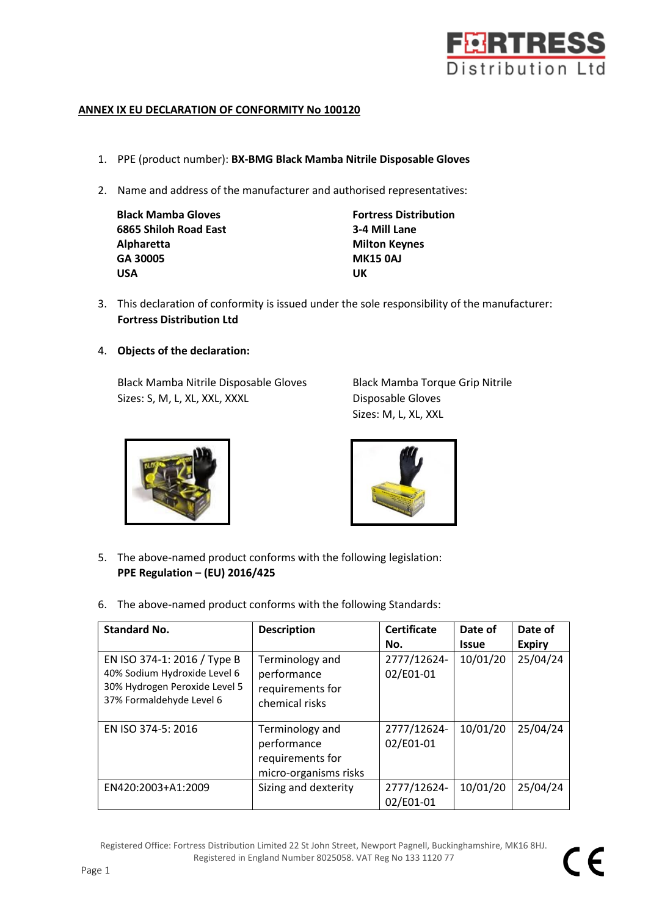

## **ANNEX IX EU DECLARATION OF CONFORMITY No 100120**

- 1. PPE (product number): **BX-BMG Black Mamba Nitrile Disposable Gloves**
- 2. Name and address of the manufacturer and authorised representatives:

| <b>Black Mamba Gloves</b> | <b>Fortress</b> |
|---------------------------|-----------------|
| 6865 Shiloh Road East     | 3-4 Mill        |
| Alpharetta                | <b>Milton K</b> |
| GA 30005                  | <b>MK1504</b>   |
| <b>USA</b>                | UK              |

**Fortress Distribution 6865 Shiloh Road East 3-4 Mill Lane Milton Keynes GA 30005 MK15 0AJ**

- 3. This declaration of conformity is issued under the sole responsibility of the manufacturer: **Fortress Distribution Ltd**
- 4. **Objects of the declaration:**

Black Mamba Nitrile Disposable Gloves Black Mamba Torque Grip Nitrile Sizes: S, M, L, XL, XXL, XXXL Disposable Gloves

Sizes: M, L, XL, XXL





- 5. The above-named product conforms with the following legislation: **PPE Regulation – (EU) 2016/425**
- 6. The above-named product conforms with the following Standards:

| <b>Standard No.</b>                                                                                                      | <b>Description</b>                                                          | <b>Certificate</b>       | Date of      | Date of       |
|--------------------------------------------------------------------------------------------------------------------------|-----------------------------------------------------------------------------|--------------------------|--------------|---------------|
|                                                                                                                          |                                                                             | No.                      | <b>Issue</b> | <b>Expiry</b> |
| EN ISO 374-1: 2016 / Type B<br>40% Sodium Hydroxide Level 6<br>30% Hydrogen Peroxide Level 5<br>37% Formaldehyde Level 6 | Terminology and<br>performance<br>requirements for<br>chemical risks        | 2777/12624-<br>02/E01-01 | 10/01/20     | 25/04/24      |
| EN ISO 374-5: 2016                                                                                                       | Terminology and<br>performance<br>requirements for<br>micro-organisms risks | 2777/12624-<br>02/E01-01 | 10/01/20     | 25/04/24      |
| EN420:2003+A1:2009                                                                                                       | Sizing and dexterity                                                        | 2777/12624-<br>02/E01-01 | 10/01/20     | 25/04/24      |